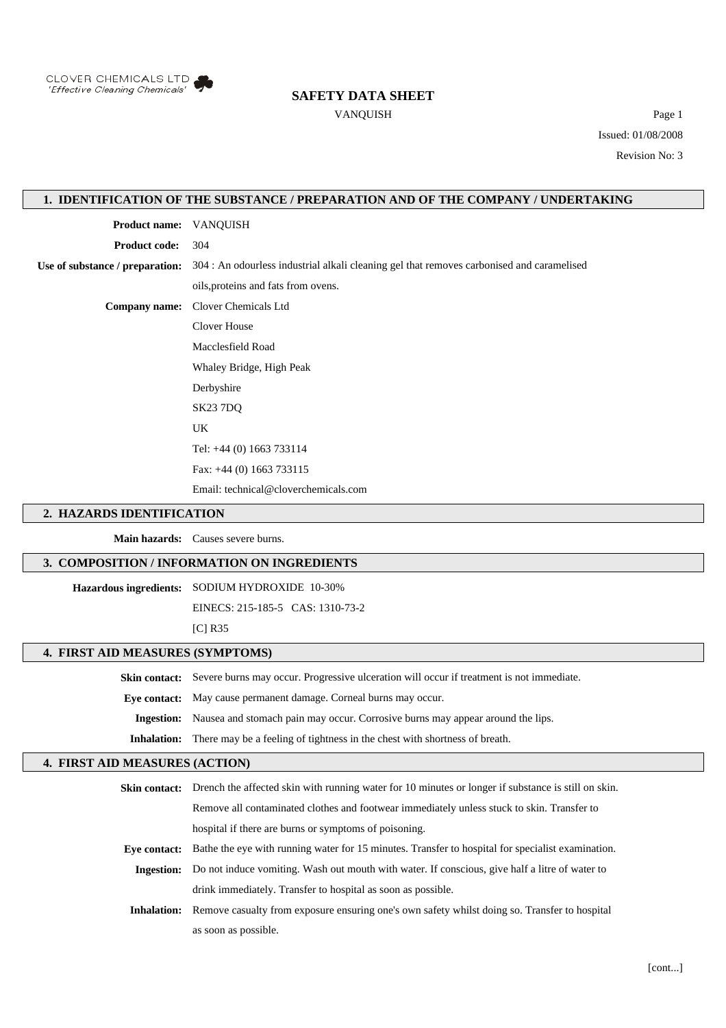

## **SAFETY DATA SHEET**

VANQUISH Page 1 Issued: 01/08/2008 Revision No: 3

### **1. IDENTIFICATION OF THE SUBSTANCE / PREPARATION AND OF THE COMPANY / UNDERTAKING**

**Product name:** VANQUISH **Product code:** 304 **Use of substance / preparation:** 304 : An odourless industrial alkali cleaning gel that removes carbonised and caramelised oils,proteins and fats from ovens. **Company name:** Clover Chemicals Ltd Clover House Macclesfield Road Whaley Bridge, High Peak Derbyshire SK23 7DQ UK

Tel: +44 (0) 1663 733114

Fax: +44 (0) 1663 733115

Email: technical@cloverchemicals.com

#### **2. HAZARDS IDENTIFICATION**

**Main hazards:** Causes severe burns.

### **3. COMPOSITION / INFORMATION ON INGREDIENTS**

**Hazardous ingredients:** SODIUM HYDROXIDE 10-30%

EINECS: 215-185-5 CAS: 1310-73-2

[C] R35

#### **4. FIRST AID MEASURES (SYMPTOMS)**

**Skin contact:** Severe burns may occur. Progressive ulceration will occur if treatment is not immediate.

**Eye contact:** May cause permanent damage. Corneal burns may occur.

**Ingestion:** Nausea and stomach pain may occur. Corrosive burns may appear around the lips.

**Inhalation:** There may be a feeling of tightness in the chest with shortness of breath.

## **4. FIRST AID MEASURES (ACTION)**

**Skin contact:** Drench the affected skin with running water for 10 minutes or longer if substance is still on skin. Remove all contaminated clothes and footwear immediately unless stuck to skin. Transfer to hospital if there are burns or symptoms of poisoning. **Eye contact:** Bathe the eye with running water for 15 minutes. Transfer to hospital for specialist examination. **Ingestion:** Do not induce vomiting. Wash out mouth with water. If conscious, give half a litre of water to drink immediately. Transfer to hospital as soon as possible. **Inhalation:** Remove casualty from exposure ensuring one's own safety whilst doing so. Transfer to hospital as soon as possible.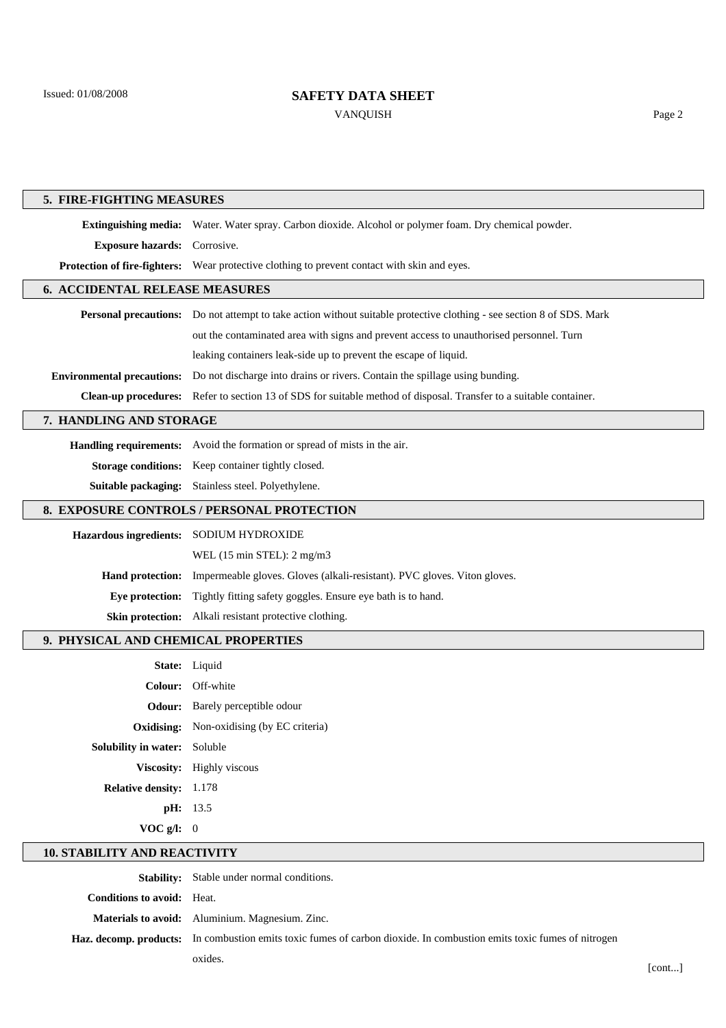Issued: 01/08/2008

 $\lceil$ 

 $\lceil$ 

 $\lceil$ 

 $\sqrt{2}$ 

 $\sqrt{2}$ 

## **SAFETY DATA SHEET**

VANQUISH Page 2

| 5. FIRE-FIGHTING MEASURES                  |                                                                                                                              |  |
|--------------------------------------------|------------------------------------------------------------------------------------------------------------------------------|--|
|                                            | Extinguishing media: Water. Water spray. Carbon dioxide. Alcohol or polymer foam. Dry chemical powder.                       |  |
| <b>Exposure hazards:</b>                   | Corrosive.                                                                                                                   |  |
| <b>Protection of fire-fighters:</b>        | Wear protective clothing to prevent contact with skin and eyes.                                                              |  |
| <b>6. ACCIDENTAL RELEASE MEASURES</b>      |                                                                                                                              |  |
|                                            | <b>Personal precautions:</b> Do not attempt to take action without suitable protective clothing - see section 8 of SDS. Mark |  |
|                                            | out the contaminated area with signs and prevent access to unauthorised personnel. Turn                                      |  |
|                                            | leaking containers leak-side up to prevent the escape of liquid.                                                             |  |
| <b>Environmental precautions:</b>          | Do not discharge into drains or rivers. Contain the spillage using bunding.                                                  |  |
|                                            | Clean-up procedures: Refer to section 13 of SDS for suitable method of disposal. Transfer to a suitable container.           |  |
| 7. HANDLING AND STORAGE                    |                                                                                                                              |  |
|                                            | Handling requirements: Avoid the formation or spread of mists in the air.                                                    |  |
| <b>Storage conditions:</b>                 | Keep container tightly closed.                                                                                               |  |
| Suitable packaging:                        | Stainless steel. Polyethylene.                                                                                               |  |
|                                            |                                                                                                                              |  |
| 8. EXPOSURE CONTROLS / PERSONAL PROTECTION |                                                                                                                              |  |
| <b>Hazardous ingredients:</b>              | SODIUM HYDROXIDE                                                                                                             |  |
|                                            | WEL (15 min STEL): 2 mg/m3                                                                                                   |  |
| <b>Hand protection:</b>                    | Impermeable gloves. Gloves (alkali-resistant). PVC gloves. Viton gloves.                                                     |  |
| Eye protection:                            | Tightly fitting safety goggles. Ensure eye bath is to hand.                                                                  |  |
| <b>Skin protection:</b>                    | Alkali resistant protective clothing.                                                                                        |  |
| 9. PHYSICAL AND CHEMICAL PROPERTIES        |                                                                                                                              |  |
|                                            | State: Liquid                                                                                                                |  |
|                                            | Colour: Off-white                                                                                                            |  |
| Odour:                                     | Barely perceptible odour                                                                                                     |  |
|                                            | <b>Oxidising:</b> Non-oxidising (by EC criteria)                                                                             |  |
| Solubility in water: Soluble               |                                                                                                                              |  |
|                                            | Viscosity: Highly viscous                                                                                                    |  |
| Relative density: 1.178                    |                                                                                                                              |  |
|                                            | pH: 13.5                                                                                                                     |  |
| VOC $g/l$ : 0                              |                                                                                                                              |  |
| <b>10. STABILITY AND REACTIVITY</b>        |                                                                                                                              |  |

**Stability:** Stable under normal conditions. **Conditions to avoid:** Heat. **Materials to avoid:** Aluminium. Magnesium. Zinc. **Haz. decomp. products:** In combustion emits toxic fumes of carbon dioxide. In combustion emits toxic fumes of nitrogen oxides.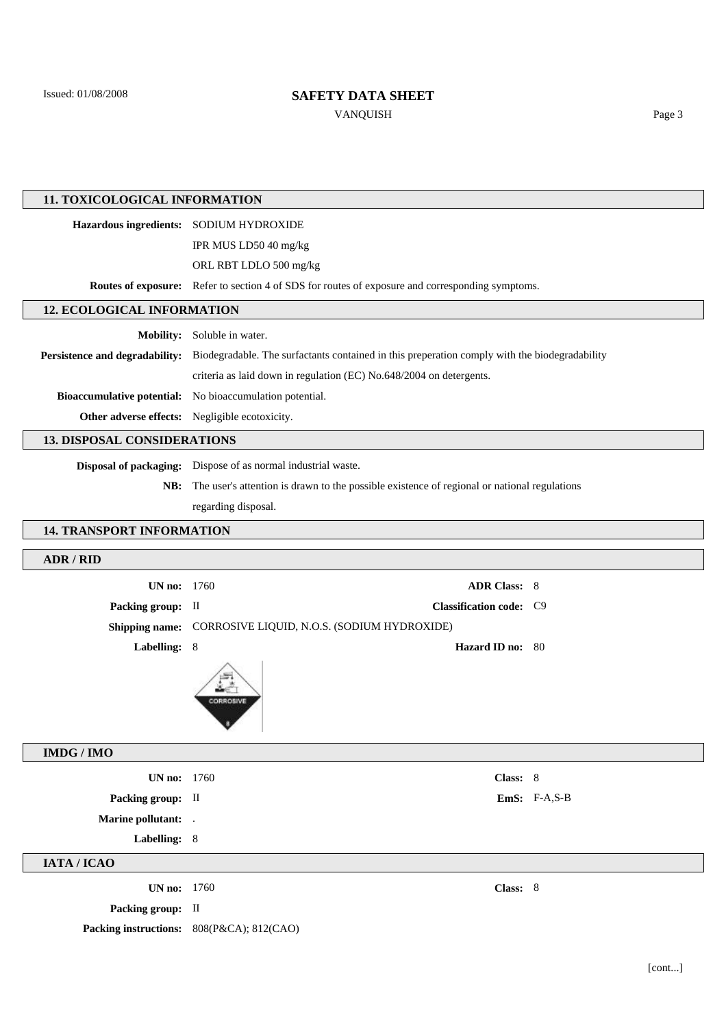Issued: 01/08/2008

# **SAFETY DATA SHEET**

VANQUISH Page 3

| 11. TOXICOLOGICAL INFORMATION                  |                                                                                                  |  |
|------------------------------------------------|--------------------------------------------------------------------------------------------------|--|
| <b>Hazardous ingredients:</b>                  | SODIUM HYDROXIDE                                                                                 |  |
|                                                | IPR MUS LD50 40 mg/kg                                                                            |  |
|                                                | ORL RBT LDLO 500 mg/kg                                                                           |  |
|                                                | Routes of exposure: Refer to section 4 of SDS for routes of exposure and corresponding symptoms. |  |
| <b>12. ECOLOGICAL INFORMATION</b>              |                                                                                                  |  |
| <b>Mobility:</b>                               | Soluble in water.                                                                                |  |
| Persistence and degradability:                 | Biodegradable. The surfactants contained in this preperation comply with the biodegradability    |  |
|                                                | criteria as laid down in regulation (EC) No.648/2004 on detergents.                              |  |
| <b>Bioaccumulative potential:</b>              | No bioaccumulation potential.                                                                    |  |
| Other adverse effects: Negligible ecotoxicity. |                                                                                                  |  |
| <b>13. DISPOSAL CONSIDERATIONS</b>             |                                                                                                  |  |
| <b>Disposal of packaging:</b>                  | Dispose of as normal industrial waste.                                                           |  |
| NB:                                            | The user's attention is drawn to the possible existence of regional or national regulations      |  |
|                                                | regarding disposal.                                                                              |  |
| <b>14. TRANSPORT INFORMATION</b>               |                                                                                                  |  |
| <b>ADR / RID</b>                               |                                                                                                  |  |
| UN no:                                         | 1760<br><b>ADR Class: 8</b>                                                                      |  |
| Packing group: II                              | Classification code: C9                                                                          |  |
|                                                | Shipping name: CORROSIVE LIQUID, N.O.S. (SODIUM HYDROXIDE)                                       |  |
| Labelling: 8                                   |                                                                                                  |  |
|                                                | Hazard ID no: 80                                                                                 |  |
|                                                | CORROSIVE                                                                                        |  |
| <b>IMDG / IMO</b>                              |                                                                                                  |  |
| <b>UN no:</b> 1760                             | Class: 8                                                                                         |  |
| Packing group: II                              | EmS: $F-A, S-B$                                                                                  |  |
| Marine pollutant: .                            |                                                                                                  |  |
| Labelling: 8                                   |                                                                                                  |  |
| IATA / ICAO                                    |                                                                                                  |  |
| <b>UN no:</b> 1760                             | Class: 8                                                                                         |  |
| Packing group: II                              |                                                                                                  |  |
|                                                | Packing instructions: 808(P&CA); 812(CAO)                                                        |  |